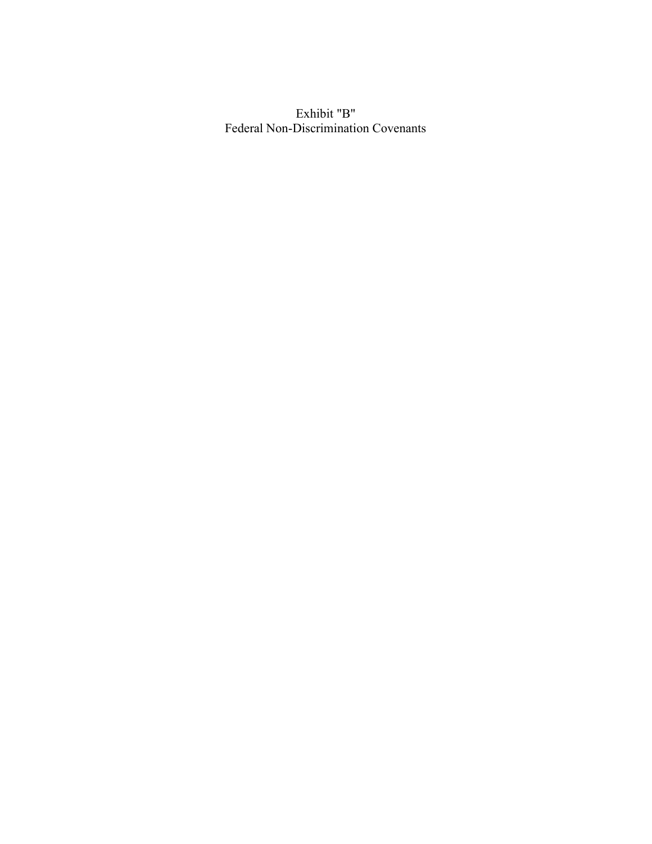Exhibit "B" Federal Non-Discrimination Covenants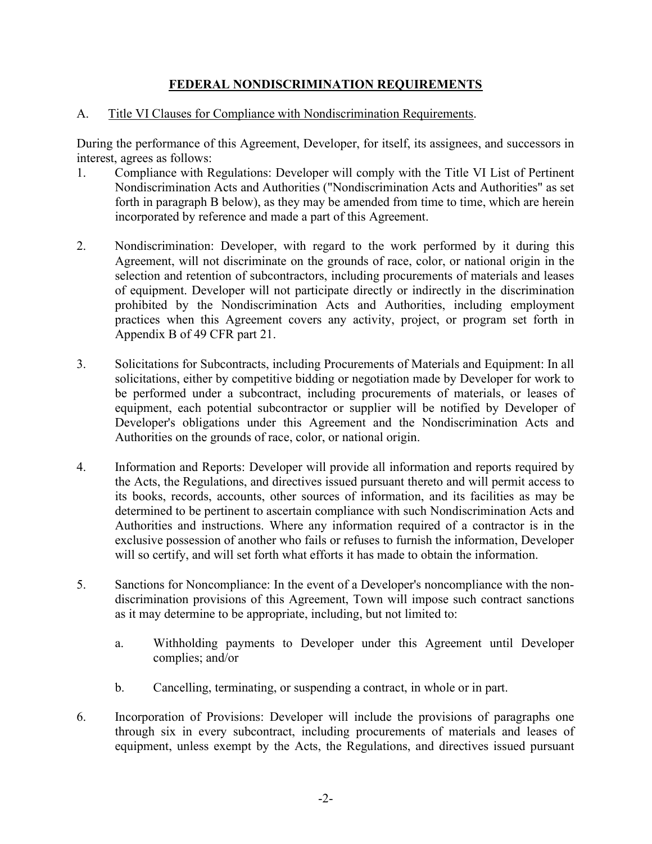# FEDERAL NONDISCRIMINATION REQUIREMENTS

### A. Title VI Clauses for Compliance with Nondiscrimination Requirements.

During the performance of this Agreement, Developer, for itself, its assignees, and successors in interest, agrees as follows:

- 1. Compliance with Regulations: Developer will comply with the Title VI List of Pertinent Nondiscrimination Acts and Authorities ("Nondiscrimination Acts and Authorities" as set forth in paragraph B below), as they may be amended from time to time, which are herein incorporated by reference and made a part of this Agreement.
- 2. Nondiscrimination: Developer, with regard to the work performed by it during this Agreement, will not discriminate on the grounds of race, color, or national origin in the selection and retention of subcontractors, including procurements of materials and leases of equipment. Developer will not participate directly or indirectly in the discrimination prohibited by the Nondiscrimination Acts and Authorities, including employment practices when this Agreement covers any activity, project, or program set forth in Appendix B of 49 CFR part 21.
- 3. Solicitations for Subcontracts, including Procurements of Materials and Equipment: In all solicitations, either by competitive bidding or negotiation made by Developer for work to be performed under a subcontract, including procurements of materials, or leases of equipment, each potential subcontractor or supplier will be notified by Developer of Developer's obligations under this Agreement and the Nondiscrimination Acts and Authorities on the grounds of race, color, or national origin.
- 4. Information and Reports: Developer will provide all information and reports required by the Acts, the Regulations, and directives issued pursuant thereto and will permit access to its books, records, accounts, other sources of information, and its facilities as may be determined to be pertinent to ascertain compliance with such Nondiscrimination Acts and Authorities and instructions. Where any information required of a contractor is in the exclusive possession of another who fails or refuses to furnish the information, Developer will so certify, and will set forth what efforts it has made to obtain the information.
- 5. Sanctions for Noncompliance: In the event of a Developer's noncompliance with the nondiscrimination provisions of this Agreement, Town will impose such contract sanctions as it may determine to be appropriate, including, but not limited to:
	- a. Withholding payments to Developer under this Agreement until Developer complies; and/or
	- b. Cancelling, terminating, or suspending a contract, in whole or in part.
- 6. Incorporation of Provisions: Developer will include the provisions of paragraphs one through six in every subcontract, including procurements of materials and leases of equipment, unless exempt by the Acts, the Regulations, and directives issued pursuant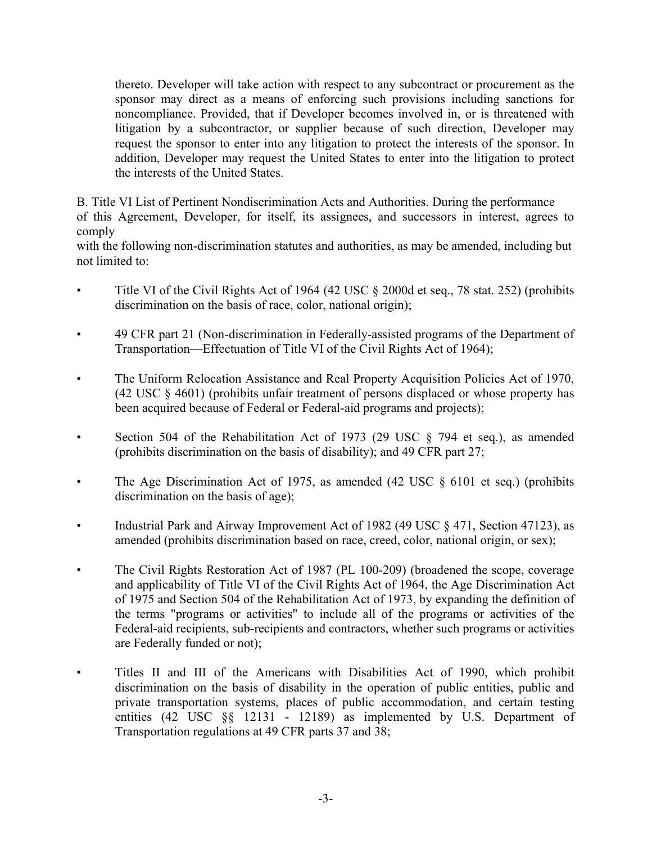thereto. Developer will take action with respect to any subcontract or procurement as the sponsor may direct as a means of enforcing such provisions including sanctions for noncompliance. Provided, that if Developer becomes involved in, or is threatened with litigation by a subcontractor, or supplier because of such direction, Developer may request the sponsor to enter into any litigation to protect the interests of the sponsor. In addition, Developer may request the United States to enter into the litigation to protect the interests of the United States.

B. Title VI List of Pertinent Nondiscrimination Acts and Authorities. During the performance of this Agreement, Developer, for itself, its assignees, and successors in interest, agrees to comply

with the following non-discrimination statutes and authorities, as may be amended, including but not limited to:

- Title VI of the Civil Rights Act of 1964 (42 USC § 2000d et seq., 78 stat. 252) (prohibits discrimination on the basis of race, color, national origin);
- 49 CFR part 21 (Non-discrimination in Federally-assisted programs of the Department of Transportation—Effectuation of Title VI of the Civil Rights Act of 1964);
- The Uniform Relocation Assistance and Real Property Acquisition Policies Act of 1970, (42 USC § 4601) (prohibits unfair treatment of persons displaced or whose property has been acquired because of Federal or Federal-aid programs and projects);
- Section 504 of the Rehabilitation Act of 1973 (29 USC § 794 et seq.), as amended (prohibits discrimination on the basis of disability); and 49 CFR part 27;
- The Age Discrimination Act of 1975, as amended (42 USC § 6101 et seq.) (prohibits discrimination on the basis of age);
- Industrial Park and Airway Improvement Act of 1982 (49 USC § 471, Section 47123), as amended (prohibits discrimination based on race, creed, color, national origin, or sex);
- The Civil Rights Restoration Act of 1987 (PL 100-209) (broadened the scope, coverage and applicability of Title VI of the Civil Rights Act of 1964, the Age Discrimination Act of 1975 and Section 504 of the Rehabilitation Act of 1973, by expanding the definition of the terms "programs or activities" to include all of the programs or activities of the Federal-aid recipients, sub-recipients and contractors, whether such programs or activities are Federally funded or not);
- Titles II and III of the Americans with Disabilities Act of 1990, which prohibit discrimination on the basis of disability in the operation of public entities, public and private transportation systems, places of public accommodation, and certain testing entities (42 USC §§ 12131 - 12189) as implemented by U.S. Department of Transportation regulations at 49 CFR parts 37 and 38;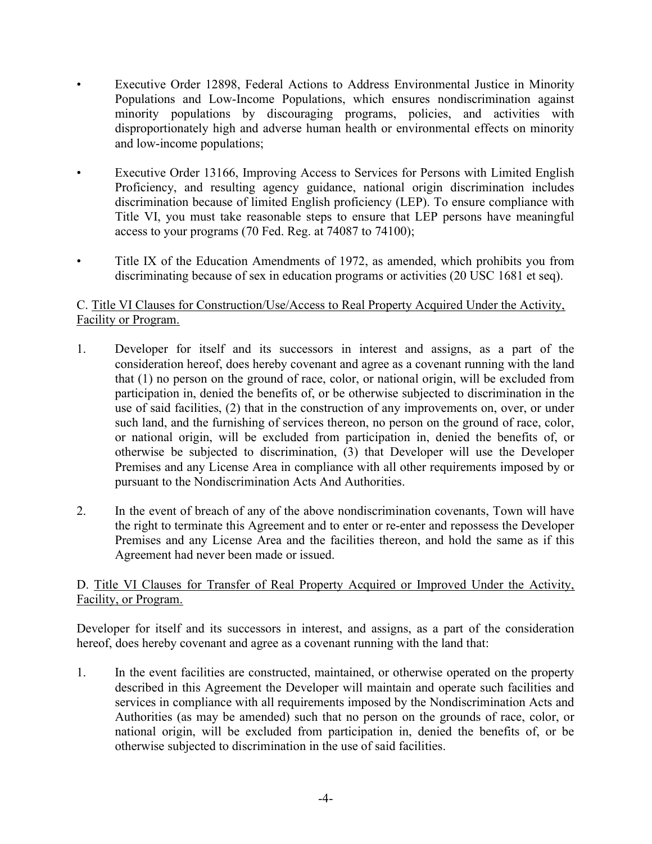- Executive Order 12898, Federal Actions to Address Environmental Justice in Minority Populations and Low-Income Populations, which ensures nondiscrimination against minority populations by discouraging programs, policies, and activities with disproportionately high and adverse human health or environmental effects on minority and low-income populations;
- Executive Order 13166, Improving Access to Services for Persons with Limited English Proficiency, and resulting agency guidance, national origin discrimination includes discrimination because of limited English proficiency (LEP). To ensure compliance with Title VI, you must take reasonable steps to ensure that LEP persons have meaningful access to your programs (70 Fed. Reg. at 74087 to 74100);
- Title IX of the Education Amendments of 1972, as amended, which prohibits you from discriminating because of sex in education programs or activities (20 USC 1681 et seq).

# C. Title VI Clauses for Construction/Use/Access to Real Property Acquired Under the Activity, Facility or Program.

- 1. Developer for itself and its successors in interest and assigns, as a part of the consideration hereof, does hereby covenant and agree as a covenant running with the land that (1) no person on the ground of race, color, or national origin, will be excluded from participation in, denied the benefits of, or be otherwise subjected to discrimination in the use of said facilities, (2) that in the construction of any improvements on, over, or under such land, and the furnishing of services thereon, no person on the ground of race, color, or national origin, will be excluded from participation in, denied the benefits of, or otherwise be subjected to discrimination, (3) that Developer will use the Developer Premises and any License Area in compliance with all other requirements imposed by or pursuant to the Nondiscrimination Acts And Authorities.
- 2. In the event of breach of any of the above nondiscrimination covenants, Town will have the right to terminate this Agreement and to enter or re-enter and repossess the Developer Premises and any License Area and the facilities thereon, and hold the same as if this Agreement had never been made or issued.

# D. Title VI Clauses for Transfer of Real Property Acquired or Improved Under the Activity, Facility, or Program.

Developer for itself and its successors in interest, and assigns, as a part of the consideration hereof, does hereby covenant and agree as a covenant running with the land that:

1. In the event facilities are constructed, maintained, or otherwise operated on the property described in this Agreement the Developer will maintain and operate such facilities and services in compliance with all requirements imposed by the Nondiscrimination Acts and Authorities (as may be amended) such that no person on the grounds of race, color, or national origin, will be excluded from participation in, denied the benefits of, or be otherwise subjected to discrimination in the use of said facilities.